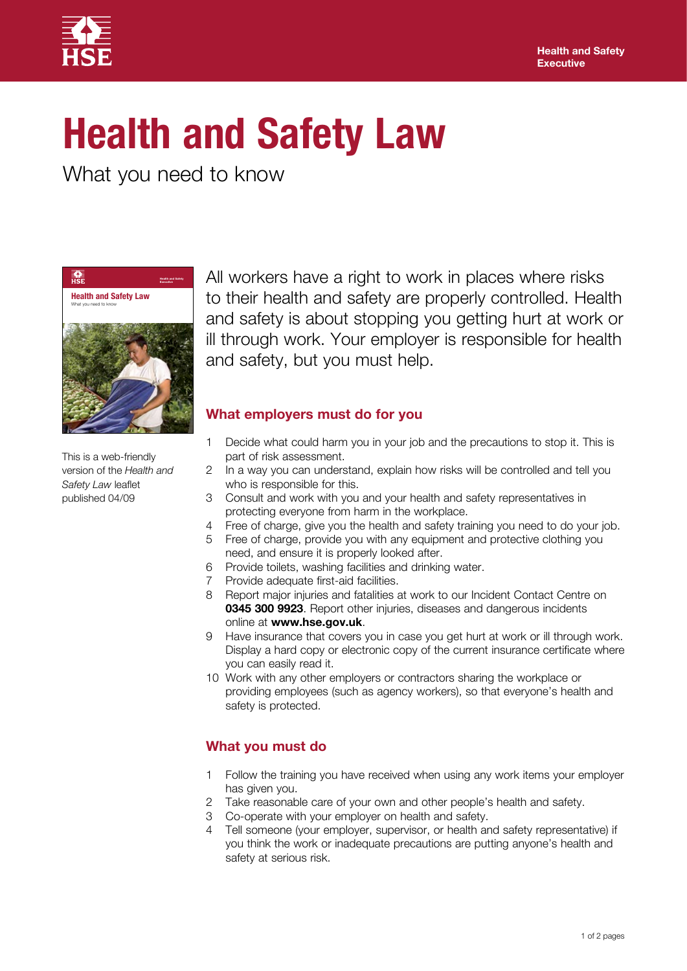

# **Health and Safety Law**

What you need to know



This is a web-friendly version of the *Health and Safety Law* leaflet published 04/09

All workers have a right to work in places where risks to their health and safety are properly controlled. Health and safety is about stopping you getting hurt at work or ill through work. Your employer is responsible for health and safety, but you must help.

## **What employers must do for you**

- 1 Decide what could harm you in your job and the precautions to stop it. This is part of risk assessment.
- 2 In a way you can understand, explain how risks will be controlled and tell you who is responsible for this.
- 3 Consult and work with you and your health and safety representatives in protecting everyone from harm in the workplace.
- 4 Free of charge, give you the health and safety training you need to do your job.
- 5 Free of charge, provide you with any equipment and protective clothing you need, and ensure it is properly looked after.
- 6 Provide toilets, washing facilities and drinking water.
- 7 Provide adequate first-aid facilities.
- 8 Report major injuries and fatalities at work to our Incident Contact Centre on **0345 300 9923**. Report other injuries, diseases and dangerous incidents online at **www.hse.gov.uk**.
- 9 Have insurance that covers you in case you get hurt at work or ill through work. Display a hard copy or electronic copy of the current insurance certificate where you can easily read it.
- 10 Work with any other employers or contractors sharing the workplace or providing employees (such as agency workers), so that everyone's health and safety is protected.

## **What you must do**

- 1 Follow the training you have received when using any work items your employer has given you.
- 2 Take reasonable care of your own and other people's health and safety.
- 3 Co-operate with your employer on health and safety.
- 4 Tell someone (your employer, supervisor, or health and safety representative) if you think the work or inadequate precautions are putting anyone's health and safety at serious risk.